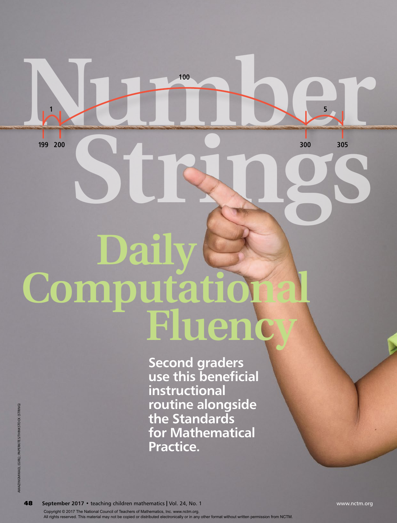**Number 199 200 Strings** 300 305

# **Daily Computatio Fluency**

**100**

**1 5**

**Second graders use this beneficial instructional routine alongside the Standards for Mathematical Practice.**

AMAZINGMIKAEL (GIRL); PAPERKITES/THINKSTOCK (STRING) AMAZINGMIKAEL (GIRL); PAPERKITES/THINKSTOCK (STRING)

48 **September 2017 •** teaching children mathematics **|** Vol. 24, No. 1 www.nctm.org

**300 305**

Copyright © 2017 The National Council of Teachers of Mathematics, Inc. www.nctm.org. All rights reserved. This material may not be copied or distributed electronically or in any other format without written permission from NCTM.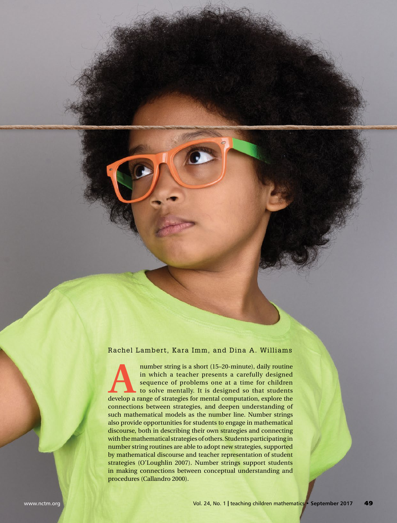#### Rachel Lambert, Kara Imm, and Dina A. Williams

Anumber string is a short (15–20-minute), daily routine<br>
in which a teacher presents a carefully designed<br>
sequence of problems one at a time for children<br>
to solve mentally. It is designed so that students<br>
develop a rang in which a teacher presents a carefully designed sequence of problems one at a time for children to solve mentally. It is designed so that students connections between strategies, and deepen understanding of such mathematical models as the number line. Number strings also provide opportunities for students to engage in mathematical discourse, both in describing their own strategies and connecting with the mathematical strategies of others. Students participating in number string routines are able to adopt new strategies, supported by mathematical discourse and teacher representation of student strategies (O'Loughlin 2007). Number strings support students in making connections between conceptual understanding and procedures (Callandro 2000).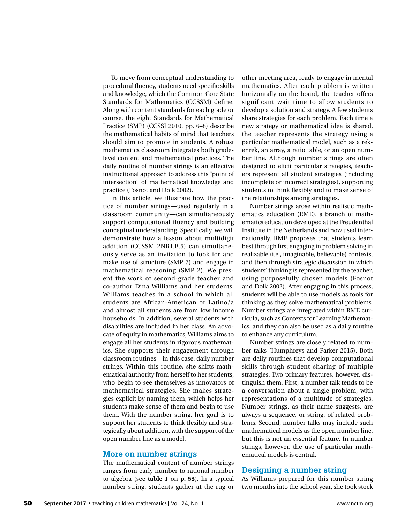To move from conceptual understanding to procedural fluency, students need specific skills and knowledge, which the Common Core State Standards for Mathematics (CCSSM) define. Along with content standards for each grade or course, the eight Standards for Mathematical Practice (SMP) (CCSSI 2010, pp. 6–8) describe the mathematical habits of mind that teachers should aim to promote in students. A robust mathematics classroom integrates both gradelevel content and mathematical practices. The daily routine of number strings is an effective instructional approach to address this "point of intersection" of mathematical knowledge and practice (Fosnot and Dolk 2002).

In this article, we illustrate how the practice of number strings—used regularly in a classroom community—can simultaneously support computational fluency and building conceptual understanding. Specifically, we will demonstrate how a lesson about multidigit addition (CCSSM 2NBT.B.5) can simultaneously serve as an invitation to look for and make use of structure (SMP 7) and engage in mathematical reasoning (SMP 2). We present the work of second-grade teacher and co-author Dina Williams and her students. Williams teaches in a school in which all students are African-American or Latino/a and almost all students are from low-income households. In addition, several students with disabilities are included in her class. An advocate of equity in mathematics, Williams aims to engage all her students in rigorous mathematics. She supports their engagement through classroom routines—in this case, daily number strings. Within this routine, she shifts mathematical authority from herself to her students, who begin to see themselves as innovators of mathematical strategies. She makes strategies explicit by naming them, which helps her students make sense of them and begin to use them. With the number string, her goal is to support her students to think flexibly and strategically about addition, with the support of the open number line as a model.

### **More on number strings**

The mathematical content of number strings ranges from early number to rational number to algebra (see **table 1** on **p. 53**). In a typical number string, students gather at the rug or

other meeting area, ready to engage in mental mathematics. After each problem is written horizontally on the board, the teacher offers significant wait time to allow students to develop a solution and strategy. A few students share strategies for each problem. Each time a new strategy or mathematical idea is shared, the teacher represents the strategy using a particular mathematical model, such as a rekenrek, an array, a ratio table, or an open number line. Although number strings are often designed to elicit particular strategies, teachers represent all student strategies (including incomplete or incorrect strategies), supporting students to think flexibly and to make sense of the relationships among strategies.

Number strings arose within realistic mathematics education (RME), a branch of mathematics education developed at the Freudenthal Institute in the Netherlands and now used internationally. RME proposes that students learn best through first engaging in problem solving in realizable (i.e., imaginable, believable) contexts, and then through strategic discussion in which students' thinking is represented by the teacher, using purposefully chosen models (Fosnot and Dolk 2002). After engaging in this process, students will be able to use models as tools for thinking as they solve mathematical problems. Number strings are integrated within RME curricula, such as Contexts for Learning Mathematics, and they can also be used as a daily routine to enhance any curriculum.

Number strings are closely related to number talks (Humphreys and Parker 2015). Both are daily routines that develop computational skills through student sharing of multiple strategies. Two primary features, however, distinguish them. First, a number talk tends to be a conversation about a single problem, with representations of a multitude of strategies. Number strings, as their name suggests, are always a sequence, or string, of related problems. Second, number talks may include such mathematical models as the open number line, but this is not an essential feature. In number strings, however, the use of particular mathematical models is central.

#### **Designing a number string**

As Williams prepared for this number string two months into the school year, she took stock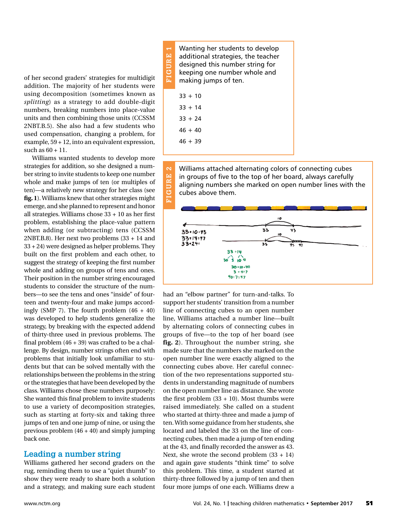of her second graders' strategies for multidigit addition. The majority of her students were using decomposition (sometimes known as *splitting*) as a strategy to add double-digit numbers, breaking numbers into place-value units and then combining those units (CCSSM 2NBT.B.5). She also had a few students who used compensation, changing a problem, for example, 59 + 12, into an equivalent expression, such as 60 + 11.

Williams wanted students to develop more strategies for addition, so she designed a number string to invite students to keep one number whole and make jumps of ten (or multiples of ten)—a relatively new strategy for her class (see **fig. 1**). Williams knew that other strategies might emerge, and she planned to represent and honor all strategies. Williams chose 33 + 10 as her first problem, establishing the place-value pattern when adding (or subtracting) tens (CCSSM 2NBT.B.8). Her next two problems (33 + 14 and 33 + 24) were designed as helper problems. They built on the first problem and each other, to suggest the strategy of keeping the first number whole and adding on groups of tens and ones. Their position in the number string encouraged students to consider the structure of the numbers—to see the tens and ones "inside" of fourteen and twenty-four and make jumps accordingly (SMP 7). The fourth problem  $(46 + 40)$ was developed to help students generalize the strategy, by breaking with the expected addend of thirty-three used in previous problems. The final problem  $(46 + 39)$  was crafted to be a challenge. By design, number strings often end with problems that initially look unfamiliar to students but that can be solved mentally with the relationships between the problems in the string or the strategies that have been developed by the class. Williams chose these numbers purposely: She wanted this final problem to invite students to use a variety of decomposition strategies, such as starting at forty-six and taking three jumps of ten and one jump of nine, or using the previous problem (46 + 40) and simply jumping back one.

# **Leading a number string**

Williams gathered her second graders on the rug, reminding them to use a "quiet thumb" to show they were ready to share both a solution and a strategy, and making sure each student

Wanting her students to develop **FIGURE 1** GURE additional strategies, the teacher designed this number string for keeping one number whole and making jumps of ten.  $33 + 10$  $33 + 14$  $33 + 24$  $46 + 40$  $46 + 39$ 

 $\overline{\mathbf{C}}$ 

GURE

Williams attached alternating colors of connecting cubes in groups of five to the top of her board, always carefully aligning numbers she marked on open number lines with the cubes above them.



had an "elbow partner" for turn-and-talks. To support her students' transition from a number line of connecting cubes to an open number line, Williams attached a number line—built by alternating colors of connecting cubes in groups of five—to the top of her board (see **fig. 2**). Throughout the number string, she made sure that the numbers she marked on the open number line were exactly aligned to the connecting cubes above. Her careful connection of the two representations supported students in understanding magnitude of numbers on the open number line as distance. She wrote the first problem  $(33 + 10)$ . Most thumbs were raised immediately. She called on a student who started at thirty-three and made a jump of ten. With some guidance from her students, she located and labeled the 33 on the line of connecting cubes, then made a jump of ten ending at the 43, and finally recorded the answer as 43. Next, she wrote the second problem  $(33 + 14)$ and again gave students "think time" to solve this problem. This time, a student started at thirty-three followed by a jump of ten and then four more jumps of one each. Williams drew a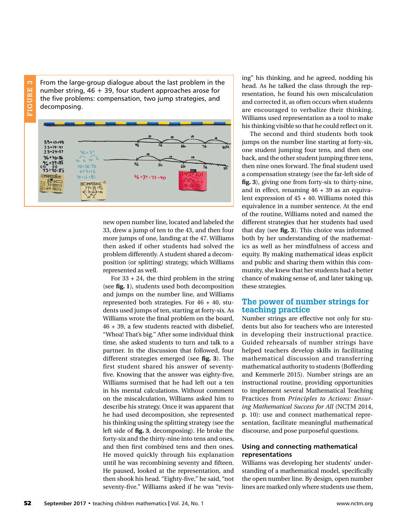$\infty$ **FIGURE 3** FIGURE

From the large-group dialogue about the last problem in the number string,  $46 + 39$ , four student approaches arose for the five problems: compensation, two jump strategies, and decomposing.



new open number line, located and labeled the 33, drew a jump of ten to the 43, and then four more jumps of one, landing at the 47. Williams then asked if other students had solved the problem differently. A student shared a decomposition (or splitting) strategy, which Williams represented as well.

For  $33 + 24$ , the third problem in the string (see **fig. 1**), students used both decomposition and jumps on the number line, and Williams represented both strategies. For 46 + 40, students used jumps of ten, starting at forty-six. As Williams wrote the final problem on the board, 46 + 39, a few students reacted with disbelief, "Whoa! That's big." After some individual think time, she asked students to turn and talk to a partner. In the discussion that followed, four different strategies emerged (see **fig. 3**). The first student shared his answer of seventyfive. Knowing that the answer was eighty-five, Williams surmised that he had left out a ten in his mental calculations. Without comment on the miscalculation, Williams asked him to describe his strategy. Once it was apparent that he had used decomposition, she represented his thinking using the splitting strategy (see the left side of **fig. 3**, decomposing). He broke the forty-six and the thirty-nine into tens and ones, and then first combined tens and then ones. He moved quickly through his explanation until he was recombining seventy and fifteen. He paused, looked at the representation, and then shook his head. "Eighty-five," he said, "not seventy-five." Williams asked if he was "revis-

ing" his thinking, and he agreed, nodding his head. As he talked the class through the representation, he found his own miscalculation and corrected it, as often occurs when students are encouraged to verbalize their thinking. Williams used representation as a tool to make his thinking visible so that he could reflect on it.

The second and third students both took jumps on the number line starting at forty-six, one student jumping four tens, and then one back, and the other student jumping three tens, then nine ones forward. The final student used a compensation strategy (see the far-left side of **fig. 3**), giving one from forty-six to thirty-nine, and in effect, renaming 46 + 39 as an equivalent expression of 45 + 40. Williams noted this equivalence in a number sentence. At the end of the routine, Williams noted and named the different strategies that her students had used that day (see **fig. 3**). This choice was informed both by her understanding of the mathematics as well as her mindfulness of access and equity. By making mathematical ideas explicit and public and sharing them within this community, she knew that her students had a better chance of making sense of, and later taking up, these strategies.

# **The power of number strings for teaching practice**

Number strings are effective not only for students but also for teachers who are interested in developing their instructional practice. Guided rehearsals of number strings have helped teachers develop skills in facilitating mathematical discussion and transferring mathematical authority to students (Bofferding and Kemmerle 2015). Number strings are an instructional routine, providing opportunities to implement several Mathematical Teaching Practices from *Principles to Actions: Ensuring Mathematical Success for All* (NCTM 2014, p. 10): use and connect mathematical representation, facilitate meaningful mathematical discourse, and pose purposeful questions.

## **Using and connecting mathematical representations**

Williams was developing her students' understanding of a mathematical model, specifically the open number line. By design, open number lines are marked only where students use them,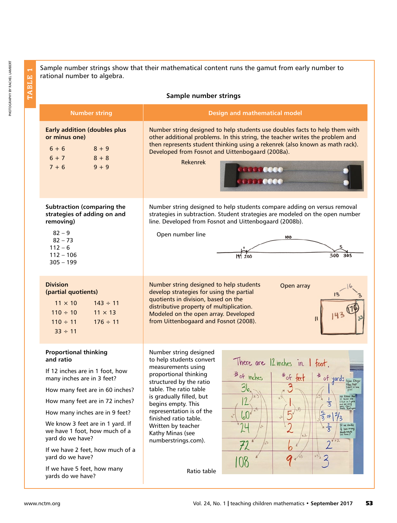Sample number strings show that their mathematical content runs the gamut from early number to rational number to algebra.

# **Sample number strings**

| <b>Number string</b>                                                                                                                                                                                                                                                                                                                                                                                                    | <b>Design and mathematical model</b>                                                                                                                                                                                                                                                                                                                                                                                                                                                                   |
|-------------------------------------------------------------------------------------------------------------------------------------------------------------------------------------------------------------------------------------------------------------------------------------------------------------------------------------------------------------------------------------------------------------------------|--------------------------------------------------------------------------------------------------------------------------------------------------------------------------------------------------------------------------------------------------------------------------------------------------------------------------------------------------------------------------------------------------------------------------------------------------------------------------------------------------------|
| <b>Early addition (doubles plus</b><br>or minus one)<br>$6 + 6$<br>$8 + 9$<br>$6 + 7$<br>$8 + 8$<br>$9 + 9$<br>$7 + 6$                                                                                                                                                                                                                                                                                                  | Number string designed to help students use doubles facts to help them with<br>other additional problems. In this string, the teacher writes the problem and<br>then represents student thinking using a rekenrek (also known as math rack).<br>Developed from Fosnot and Uittenbogaard (2008a).<br><b>Rekenrek</b><br>11110000<br><b>J.J. DOOD</b>                                                                                                                                                    |
| <b>Subtraction (comparing the</b><br>strategies of adding on and<br>removing)<br>$82 - 9$<br>$82 - 73$<br>$112 - 6$<br>$112 - 106$<br>$305 - 199$                                                                                                                                                                                                                                                                       | Number string designed to help students compare adding on versus removal<br>strategies in subtraction. Student strategies are modeled on the open number<br>line. Developed from Fosnot and Uittenbogaard (2008b).<br>Open number line<br>100<br>300<br>305<br>199 200                                                                                                                                                                                                                                 |
| <b>Division</b><br>(partial quotients)<br>$11 \times 10$<br>$143 \div 11$<br>$11 \times 13$<br>$110 \div 10$<br>$176 \div 11$<br>$110 \div 11$<br>$33 \div 11$                                                                                                                                                                                                                                                          | Number string designed to help students<br>Open array<br>develop strategies for using the partial<br>quotients in division, based on the<br>distributive property of multiplication.<br>Modeled on the open array. Developed<br>from Uittenbogaard and Fosnot (2008).                                                                                                                                                                                                                                  |
| <b>Proportional thinking</b><br>and ratio<br>If 12 inches are in 1 foot, how<br>many inches are in 3 feet?<br>How many feet are in 60 inches?<br>How many feet are in 72 inches?<br>How many inches are in 9 feet?<br>We know 3 feet are in 1 yard. If<br>we have 1 foot, how much of a<br>yard do we have?<br>If we have 2 feet, how much of a<br>yard do we have?<br>If we have 5 feet, how many<br>yards do we have? | Number string designed<br>to help students convert<br>There are 12 inches in 1 foot.<br>measurements using<br># of inches<br>proportional thinking<br>$*$ of feet<br># of yards<br>structured by the ratio<br>table. The ratio table<br>is gradually filled, but<br>begins empty. This<br>З<br>representation is of the<br>$\frac{5}{3}$ or $ 2$<br>finished ratio table.<br>$rac{2}{3}$<br>Written by teacher<br>Kathy Minas (see<br>numberstrings.com).<br>$x^3$<br>72<br>b<br>$x3\}$<br>Ratio table |

**TABLE 1**

TABLE 1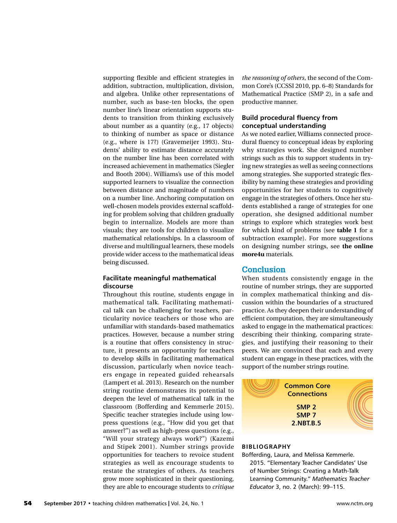supporting flexible and efficient strategies in addition, subtraction, multiplication, division, and algebra. Unlike other representations of number, such as base-ten blocks, the open number line's linear orientation supports students to transition from thinking exclusively about number as a quantity (e.g., 17 objects) to thinking of number as space or distance (e.g., where is 17?) (Gravemeijer 1993). Students' ability to estimate distance accurately on the number line has been correlated with increased achievement in mathematics (Siegler and Booth 2004). Williams's use of this model supported learners to visualize the connection between distance and magnitude of numbers on a number line. Anchoring computation on well-chosen models provides external scaffolding for problem solving that children gradually begin to internalize. Models are more than visuals; they are tools for children to visualize mathematical relationships. In a classroom of diverse and multilingual learners, these models provide wider access to the mathematical ideas being discussed.

#### **Facilitate meaningful mathematical discourse**

Throughout this routine, students engage in mathematical talk. Facilitating mathematical talk can be challenging for teachers, particularity novice teachers or those who are unfamiliar with standards-based mathematics practices. However, because a number string is a routine that offers consistency in structure, it presents an opportunity for teachers to develop skills in facilitating mathematical discussion, particularly when novice teachers engage in repeated guided rehearsals (Lampert et al. 2013). Research on the number string routine demonstrates its potential to deepen the level of mathematical talk in the classroom (Bofferding and Kemmerle 2015). Specific teacher strategies include using lowpress questions (e.g., "How did you get that answer?") as well as high-press questions (e.g., "Will your strategy always work?") (Kazemi and Stipek 2001). Number strings provide opportunities for teachers to revoice student strategies as well as encourage students to restate the strategies of others. As teachers grow more sophisticated in their questioning, they are able to encourage students to *critique*  *the reasoning of others*, the second of the Common Core's (CCSSI 2010, pp. 6–8) Standards for Mathematical Practice (SMP 2), in a safe and productive manner.

### **Build procedural fluency from conceptual understanding**

As we noted earlier, Williams connected procedural fluency to conceptual ideas by exploring why strategies work. She designed number strings such as this to support students in trying new strategies as well as seeing connections among strategies. She supported strategic flexibility by naming these strategies and providing opportunities for her students to cognitively engage in the strategies of others. Once her students established a range of strategies for one operation, she designed additional number strings to explore which strategies work best for which kind of problems (see **table 1** for a subtraction example). For more suggestions on designing number strings, see **the online more4u** materials.

# **Conclusion**

When students consistently engage in the routine of number strings, they are supported in complex mathematical thinking and discussion within the boundaries of a structured practice. As they deepen their understanding of efficient computation, they are simultaneously asked to engage in the mathematical practices: describing their thinking, comparing strategies, and justifying their reasoning to their peers. We are convinced that each and every student can engage in these practices, with the support of the number strings routine.



#### **BIBLIOGRAPHY**

Bofferding, Laura, and Melissa Kemmerle. 2015. "Elementary Teacher Candidates' Use of Number Strings: Creating a Math-Talk Learning Community." *Mathematics Teacher Educator* 3, no. 2 (March): 99–115.